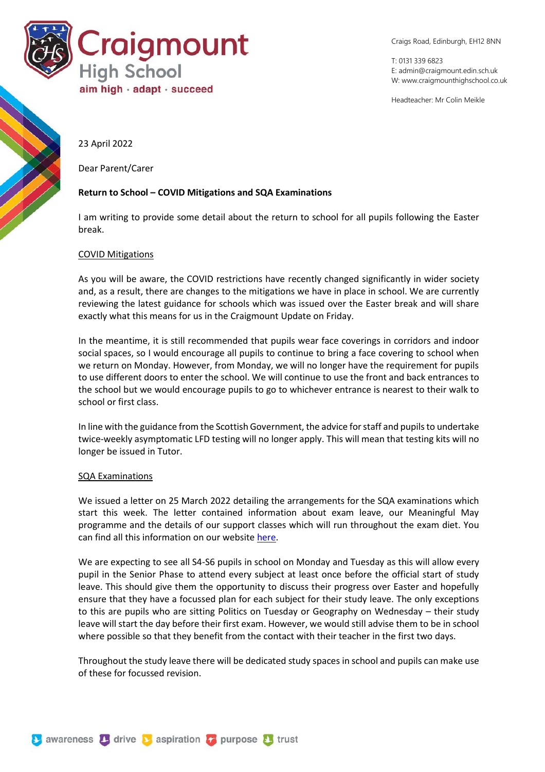

Craigs Road, Edinburgh, EH12 8NN

T: 0131 339 6823 E: [admin@craigmount.edin.sch.uk](mailto:admin@craigmount.edin.sch.uk) W[: www.craigmounthighschool.co.uk](http://www.craigmounthighschool.co.uk/)

Headteacher: Mr Colin Meikle

23 April 2022

Dear Parent/Carer

## **Return to School – COVID Mitigations and SQA Examinations**

I am writing to provide some detail about the return to school for all pupils following the Easter break.

## COVID Mitigations

As you will be aware, the COVID restrictions have recently changed significantly in wider society and, as a result, there are changes to the mitigations we have in place in school. We are currently reviewing the latest guidance for schools which was issued over the Easter break and will share exactly what this means for us in the Craigmount Update on Friday.

In the meantime, it is still recommended that pupils wear face coverings in corridors and indoor social spaces, so I would encourage all pupils to continue to bring a face covering to school when we return on Monday. However, from Monday, we will no longer have the requirement for pupils to use different doors to enter the school. We will continue to use the front and back entrances to the school but we would encourage pupils to go to whichever entrance is nearest to their walk to school or first class.

In line with the guidance from the Scottish Government, the advice for staff and pupils to undertake twice-weekly asymptomatic LFD testing will no longer apply. This will mean that testing kits will no longer be issued in Tutor.

## SQA Examinations

We issued a letter on 25 March 2022 detailing the arrangements for the SQA examinations which start this week. The letter contained information about exam leave, our Meaningful May programme and the details of our support classes which will run throughout the exam diet. You can find all this information on our websit[e here.](https://craigmounthighschool.co.uk/assessment/)

We are expecting to see all S4-S6 pupils in school on Monday and Tuesday as this will allow every pupil in the Senior Phase to attend every subject at least once before the official start of study leave. This should give them the opportunity to discuss their progress over Easter and hopefully ensure that they have a focussed plan for each subject for their study leave. The only exceptions to this are pupils who are sitting Politics on Tuesday or Geography on Wednesday – their study leave will start the day before their first exam. However, we would still advise them to be in school where possible so that they benefit from the contact with their teacher in the first two days.

Throughout the study leave there will be dedicated study spaces in school and pupils can make use of these for focussed revision.